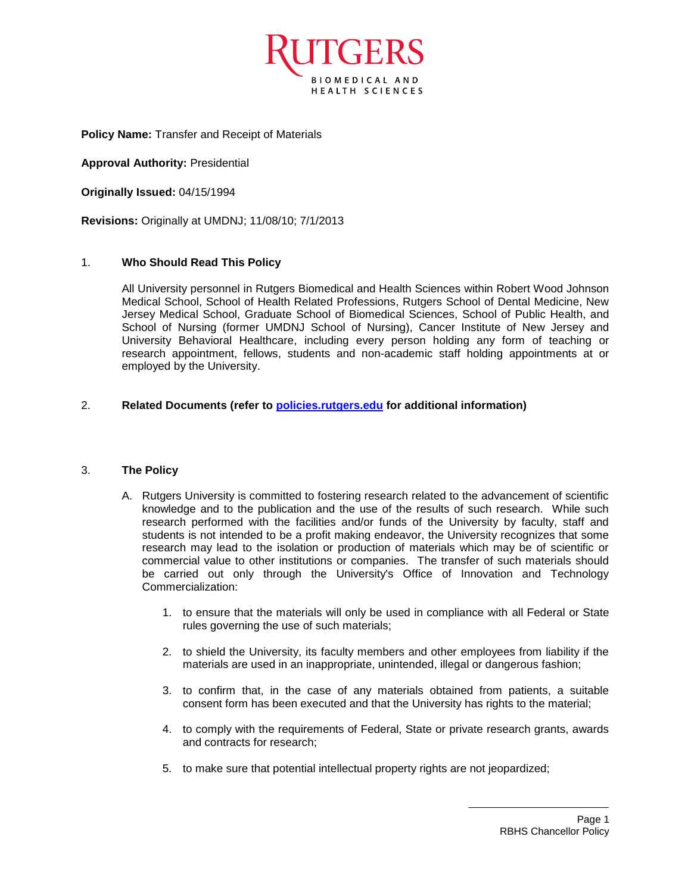

**Policy Name:** Transfer and Receipt of Materials

**Approval Authority:** Presidential

**Originally Issued:** 04/15/1994

**Revisions:** Originally at UMDNJ; 11/08/10; 7/1/2013

## 1. **Who Should Read This Policy**

All University personnel in Rutgers Biomedical and Health Sciences within Robert Wood Johnson Medical School, School of Health Related Professions, Rutgers School of Dental Medicine, New Jersey Medical School, Graduate School of Biomedical Sciences, School of Public Health, and School of Nursing (former UMDNJ School of Nursing), Cancer Institute of New Jersey and University Behavioral Healthcare, including every person holding any form of teaching or research appointment, fellows, students and non-academic staff holding appointments at or employed by the University.

## 2. **Related Documents (refer to [policies.rutgers.edu](file:///C:/Users/rsedlackpr001/Documents/Rutgers/Policies/RBHS%20Policies/policies.rutgers.edu) for additional information)**

## 3. **The Policy**

- A. Rutgers University is committed to fostering research related to the advancement of scientific knowledge and to the publication and the use of the results of such research. While such research performed with the facilities and/or funds of the University by faculty, staff and students is not intended to be a profit making endeavor, the University recognizes that some research may lead to the isolation or production of materials which may be of scientific or commercial value to other institutions or companies. The transfer of such materials should be carried out only through the University's Office of Innovation and Technology Commercialization:
	- 1. to ensure that the materials will only be used in compliance with all Federal or State rules governing the use of such materials;
	- 2. to shield the University, its faculty members and other employees from liability if the materials are used in an inappropriate, unintended, illegal or dangerous fashion;
	- 3. to confirm that, in the case of any materials obtained from patients, a suitable consent form has been executed and that the University has rights to the material;
	- 4. to comply with the requirements of Federal, State or private research grants, awards and contracts for research;
	- 5. to make sure that potential intellectual property rights are not jeopardized;